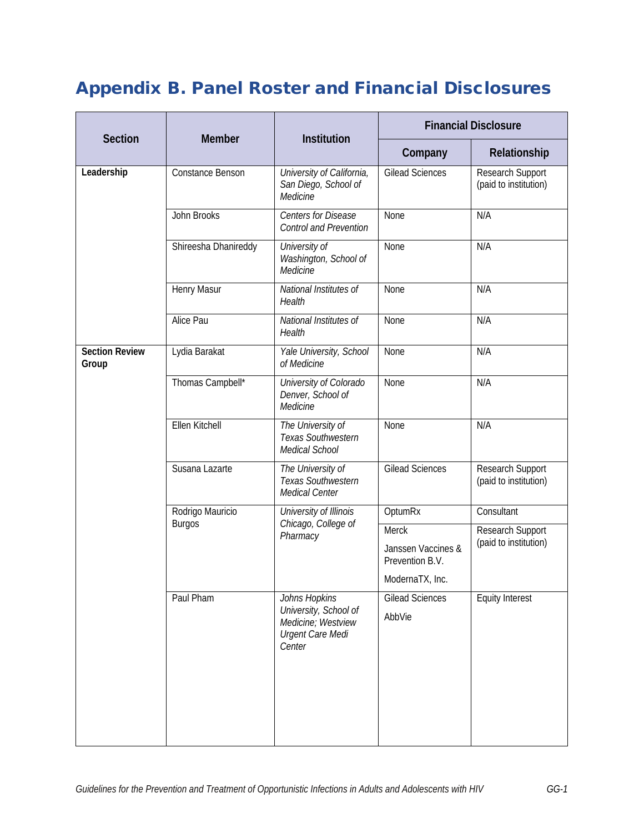## Appendix B. Panel Roster and Financial Disclosures

|                                |                      |                                                                  | <b>Financial Disclosure</b>           |                                                         |
|--------------------------------|----------------------|------------------------------------------------------------------|---------------------------------------|---------------------------------------------------------|
| <b>Section</b>                 | <b>Member</b>        | Institution                                                      | Company                               | Relationship                                            |
| Leadership                     | Constance Benson     | University of California,<br>San Diego, School of<br>Medicine    | <b>Gilead Sciences</b>                | Research Support<br>(paid to institution)               |
|                                | John Brooks          | <b>Centers for Disease</b><br><b>Control and Prevention</b>      | None                                  | N/A                                                     |
|                                | Shireesha Dhanireddy | University of<br>Washington, School of<br>Medicine               | None                                  | N/A                                                     |
|                                | Henry Masur          | National Institutes of<br>Health                                 | None                                  | N/A                                                     |
|                                | Alice Pau            | National Institutes of<br>Health                                 | None                                  | N/A                                                     |
| <b>Section Review</b><br>Group | Lydia Barakat        | Yale University, School<br>of Medicine                           | None                                  | N/A                                                     |
|                                | Thomas Campbell*     | University of Colorado<br>Denver, School of<br>Medicine          | None                                  | N/A                                                     |
|                                | Ellen Kitchell       | The University of<br>Texas Southwestern<br>Medical School        | None                                  | N/A                                                     |
|                                | Susana Lazarte       | The University of<br><b>Texas Southwestern</b><br>Medical Center | <b>Gilead Sciences</b>                | Research Support<br>(paid to institution)               |
|                                | Rodrigo Mauricio     | University of Illinois<br>Chicago, College of<br>Pharmacy        | OptumRx                               | Consultant<br>Research Support<br>(paid to institution) |
|                                | <b>Burgos</b>        |                                                                  | Merck                                 |                                                         |
|                                |                      |                                                                  | Janssen Vaccines &<br>Prevention B.V. |                                                         |
|                                |                      |                                                                  | ModernaTX, Inc.                       |                                                         |
|                                | Paul Pham            | Johns Hopkins<br>University, School of                           | <b>Gilead Sciences</b>                | <b>Equity Interest</b>                                  |
|                                |                      | Medicine; Westview<br><b>Urgent Care Medi</b><br>Center          | AbbVie                                |                                                         |
|                                |                      |                                                                  |                                       |                                                         |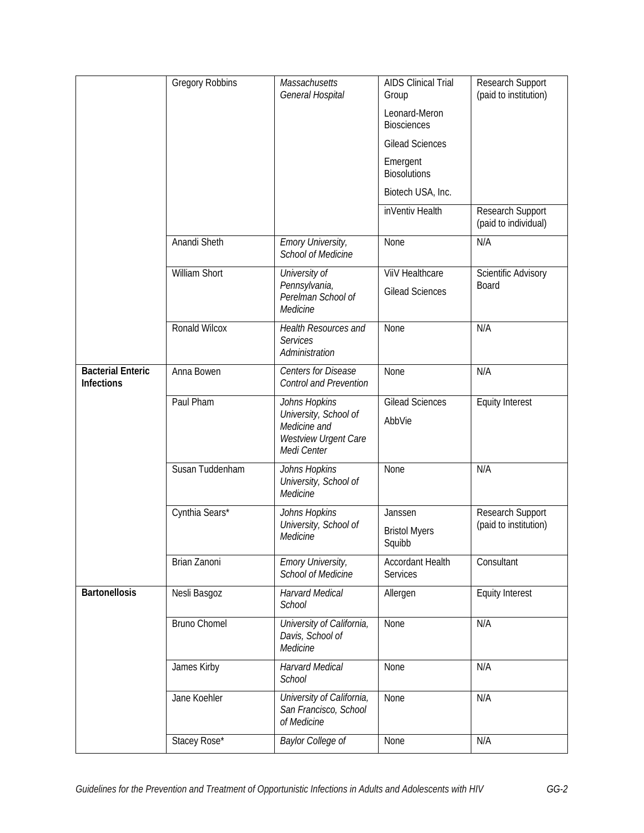|                                               | <b>Gregory Robbins</b> | Massachusetts<br>General Hospital                                                             | <b>AIDS Clinical Trial</b><br>Group | Research Support<br>(paid to institution) |
|-----------------------------------------------|------------------------|-----------------------------------------------------------------------------------------------|-------------------------------------|-------------------------------------------|
|                                               |                        |                                                                                               | Leonard-Meron<br><b>Biosciences</b> |                                           |
|                                               |                        |                                                                                               | <b>Gilead Sciences</b>              |                                           |
|                                               |                        |                                                                                               | Emergent<br><b>Biosolutions</b>     |                                           |
|                                               |                        |                                                                                               | Biotech USA, Inc.                   |                                           |
|                                               |                        |                                                                                               | inVentiv Health                     | Research Support<br>(paid to individual)  |
|                                               | Anandi Sheth           | Emory University,<br>School of Medicine                                                       | None                                | N/A                                       |
|                                               | William Short          | University of                                                                                 | ViiV Healthcare                     | Scientific Advisory                       |
|                                               |                        | Pennsylvania,<br>Perelman School of<br>Medicine                                               | <b>Gilead Sciences</b>              | Board                                     |
|                                               | Ronald Wilcox          | Health Resources and<br><b>Services</b><br>Administration                                     | None                                | N/A                                       |
| <b>Bacterial Enteric</b><br><b>Infections</b> | Anna Bowen             | Centers for Disease<br><b>Control and Prevention</b>                                          | None                                | N/A                                       |
|                                               | Paul Pham              | Johns Hopkins<br>University, School of<br>Medicine and<br>Westview Urgent Care<br>Medi Center | <b>Gilead Sciences</b><br>AbbVie    | <b>Equity Interest</b>                    |
|                                               | Susan Tuddenham        | Johns Hopkins<br>University, School of<br>Medicine                                            | None                                | N/A                                       |
|                                               | Cynthia Sears*         | Johns Hopkins                                                                                 | Janssen                             | Research Support                          |
|                                               |                        | University, School of<br>Medicine                                                             | <b>Bristol Myers</b><br>Squibb      | (paid to institution)                     |
|                                               | Brian Zanoni           | <b>Emory University,</b><br><b>School of Medicine</b>                                         | <b>Accordant Health</b><br>Services | Consultant                                |
| <b>Bartonellosis</b>                          | Nesli Basgoz           | <b>Harvard Medical</b><br><b>School</b>                                                       | Allergen                            | <b>Equity Interest</b>                    |
|                                               | <b>Bruno Chomel</b>    | University of California,<br>Davis, School of<br>Medicine                                     | None                                | N/A                                       |
|                                               | James Kirby            | <b>Harvard Medical</b><br>School                                                              | None                                | N/A                                       |
|                                               | Jane Koehler           | University of California,<br>San Francisco, School<br>of Medicine                             | None                                | N/A                                       |
|                                               | Stacey Rose*           | Baylor College of                                                                             | None                                | N/A                                       |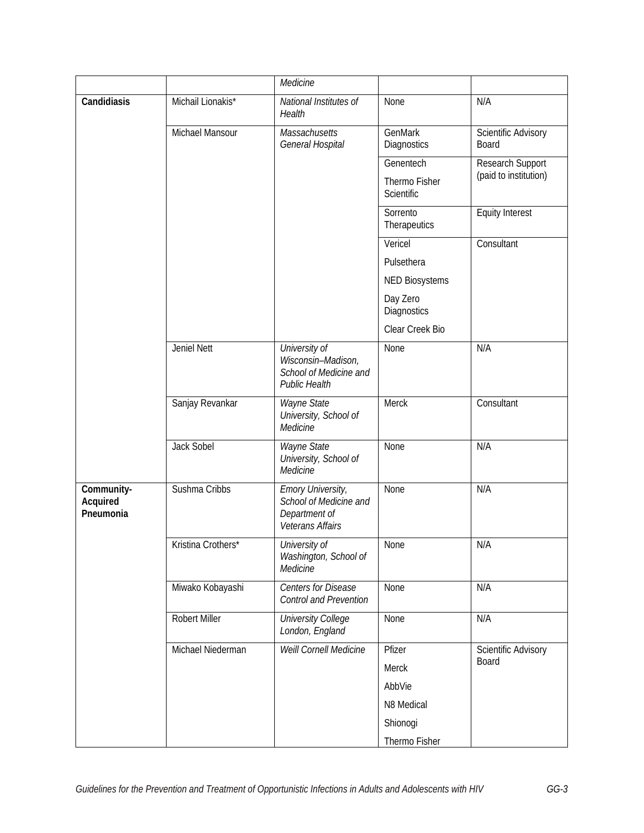|                                     |                    | Medicine                                                                              |                             |                              |
|-------------------------------------|--------------------|---------------------------------------------------------------------------------------|-----------------------------|------------------------------|
| Candidiasis                         | Michail Lionakis*  | National Institutes of<br>Health                                                      | None                        | N/A                          |
|                                     | Michael Mansour    | Massachusetts<br>General Hospital                                                     | GenMark<br>Diagnostics      | Scientific Advisory<br>Board |
|                                     |                    |                                                                                       | Genentech                   | Research Support             |
|                                     |                    |                                                                                       | Thermo Fisher<br>Scientific | (paid to institution)        |
|                                     |                    |                                                                                       | Sorrento<br>Therapeutics    | <b>Equity Interest</b>       |
|                                     |                    |                                                                                       | Vericel                     | Consultant                   |
|                                     |                    |                                                                                       | Pulsethera                  |                              |
|                                     |                    |                                                                                       | <b>NED Biosystems</b>       |                              |
|                                     |                    |                                                                                       | Day Zero<br>Diagnostics     |                              |
|                                     |                    |                                                                                       | Clear Creek Bio             |                              |
|                                     | Jeniel Nett        | University of<br>Wisconsin-Madison,<br>School of Medicine and<br><b>Public Health</b> | None                        | N/A                          |
|                                     | Sanjay Revankar    | Wayne State<br>University, School of<br>Medicine                                      | Merck                       | Consultant                   |
|                                     | Jack Sobel         | Wayne State<br>University, School of<br>Medicine                                      | None                        | N/A                          |
| Community-<br>Acquired<br>Pneumonia | Sushma Cribbs      | Emory University,<br>School of Medicine and<br>Department of<br>Veterans Affairs      | None                        | N/A                          |
|                                     | Kristina Crothers* | University of<br>Washington, School of<br>Medicine                                    | None                        | N/A                          |
|                                     | Miwako Kobayashi   | <b>Centers for Disease</b><br><b>Control and Prevention</b>                           | None                        | N/A                          |
|                                     | Robert Miller      | <b>University College</b><br>London, England                                          | None                        | N/A                          |
|                                     | Michael Niederman  | <b>Weill Cornell Medicine</b>                                                         | Pfizer                      | Scientific Advisory          |
|                                     |                    |                                                                                       | Merck                       | Board                        |
|                                     |                    |                                                                                       | AbbVie                      |                              |
|                                     |                    |                                                                                       | N8 Medical                  |                              |
|                                     |                    |                                                                                       | Shionogi                    |                              |
|                                     |                    |                                                                                       | Thermo Fisher               |                              |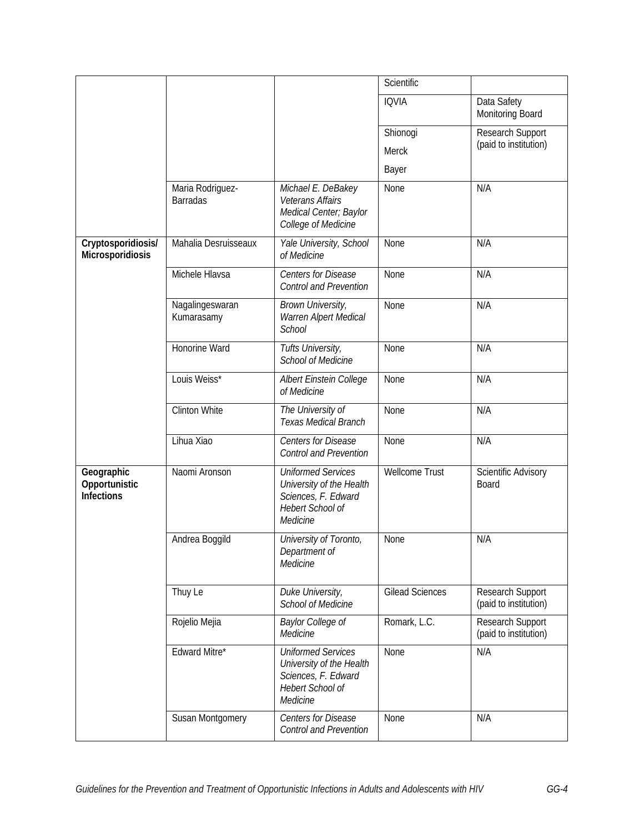|                                                  |                                     |                                                                                                              | Scientific             |                                           |
|--------------------------------------------------|-------------------------------------|--------------------------------------------------------------------------------------------------------------|------------------------|-------------------------------------------|
|                                                  |                                     |                                                                                                              | <b>IQVIA</b>           | Data Safety<br>Monitoring Board           |
|                                                  |                                     |                                                                                                              | Shionogi               | Research Support                          |
|                                                  |                                     |                                                                                                              | Merck                  | (paid to institution)                     |
|                                                  |                                     |                                                                                                              | Bayer                  |                                           |
|                                                  | Maria Rodriguez-<br><b>Barradas</b> | Michael E. DeBakey<br><b>Veterans Affairs</b><br>Medical Center; Baylor<br>College of Medicine               | None                   | N/A                                       |
| Cryptosporidiosis/<br>Microsporidiosis           | Mahalia Desruisseaux                | Yale University, School<br>of Medicine                                                                       | None                   | N/A                                       |
|                                                  | Michele Hlavsa                      | Centers for Disease<br><b>Control and Prevention</b>                                                         | None                   | N/A                                       |
|                                                  | Nagalingeswaran<br>Kumarasamy       | Brown University,<br>Warren Alpert Medical<br>School                                                         | None                   | N/A                                       |
|                                                  | Honorine Ward                       | Tufts University,<br><b>School of Medicine</b>                                                               | None                   | N/A                                       |
|                                                  | Louis Weiss*                        | Albert Einstein College<br>of Medicine                                                                       | None                   | N/A                                       |
|                                                  | <b>Clinton White</b>                | The University of<br>Texas Medical Branch                                                                    | None                   | N/A                                       |
|                                                  | Lihua Xiao                          | <b>Centers for Disease</b><br><b>Control and Prevention</b>                                                  | None                   | N/A                                       |
| Geographic<br>Opportunistic<br><b>Infections</b> | Naomi Aronson                       | <b>Uniformed Services</b><br>University of the Health<br>Sciences, F. Edward<br>Hebert School of<br>Medicine | <b>Wellcome Trust</b>  | Scientific Advisory<br><b>Board</b>       |
|                                                  | Andrea Boggild                      | University of Toronto,<br>Department of<br>Medicine                                                          | None                   | N/A                                       |
|                                                  | Thuy Le                             | Duke University,<br><b>School of Medicine</b>                                                                | <b>Gilead Sciences</b> | Research Support<br>(paid to institution) |
|                                                  | Rojelio Mejia                       | <b>Baylor College of</b><br>Medicine                                                                         | Romark, L.C.           | Research Support<br>(paid to institution) |
|                                                  | Edward Mitre*                       | <b>Uniformed Services</b><br>University of the Health<br>Sciences, F. Edward<br>Hebert School of<br>Medicine | None                   | N/A                                       |
|                                                  | Susan Montgomery                    | Centers for Disease<br><b>Control and Prevention</b>                                                         | None                   | N/A                                       |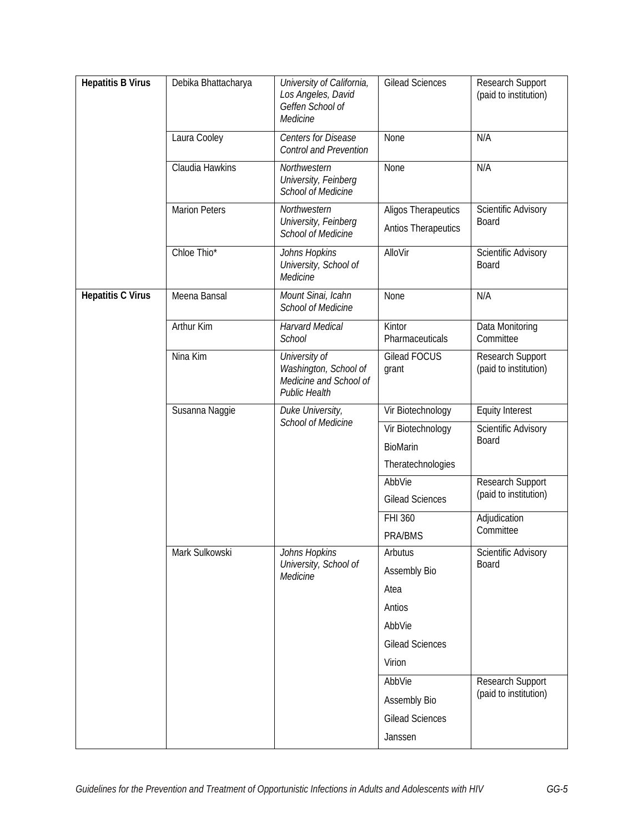| <b>Hepatitis B Virus</b> | Debika Bhattacharya  | University of California,<br>Los Angeles, David<br>Geffen School of<br>Medicine          | <b>Gilead Sciences</b>                            | Research Support<br>(paid to institution)                              |
|--------------------------|----------------------|------------------------------------------------------------------------------------------|---------------------------------------------------|------------------------------------------------------------------------|
|                          | Laura Cooley         | <b>Centers for Disease</b><br><b>Control and Prevention</b>                              | None                                              | N/A                                                                    |
|                          | Claudia Hawkins      | Northwestern<br>University, Feinberg<br>School of Medicine                               | None                                              | N/A                                                                    |
|                          | <b>Marion Peters</b> | Northwestern<br>University, Feinberg<br>School of Medicine                               | <b>Aligos Therapeutics</b><br>Antios Therapeutics | Scientific Advisory<br>Board                                           |
|                          | Chloe Thio*          | Johns Hopkins<br>University, School of<br>Medicine                                       | AlloVir                                           | <b>Scientific Advisory</b><br>Board                                    |
| <b>Hepatitis C Virus</b> | Meena Bansal         | Mount Sinai, Icahn<br><b>School of Medicine</b>                                          | None                                              | N/A                                                                    |
|                          | <b>Arthur Kim</b>    | <b>Harvard Medical</b><br>School                                                         | Kintor<br>Pharmaceuticals                         | Data Monitoring<br>Committee                                           |
|                          | Nina Kim             | University of<br>Washington, School of<br>Medicine and School of<br><b>Public Health</b> | <b>Gilead FOCUS</b><br>grant                      | Research Support<br>(paid to institution)                              |
|                          | Susanna Naggie       | Duke University,<br><b>School of Medicine</b>                                            | Vir Biotechnology                                 | <b>Equity Interest</b>                                                 |
|                          |                      |                                                                                          | Vir Biotechnology                                 | Scientific Advisory                                                    |
|                          |                      |                                                                                          | BioMarin                                          | Board                                                                  |
|                          |                      |                                                                                          | Theratechnologies                                 |                                                                        |
|                          |                      |                                                                                          | AbbVie                                            | Research Support<br>(paid to institution)<br>Adjudication<br>Committee |
|                          |                      |                                                                                          | <b>Gilead Sciences</b>                            |                                                                        |
|                          |                      |                                                                                          | FHI 360                                           |                                                                        |
|                          |                      |                                                                                          | PRA/BMS                                           |                                                                        |
|                          | Mark Sulkowski       | Johns Hopkins<br>University, School of                                                   | Arbutus                                           | Scientific Advisory<br>Board                                           |
|                          |                      | Medicine                                                                                 | Assembly Bio                                      |                                                                        |
|                          |                      |                                                                                          | Atea                                              |                                                                        |
|                          |                      |                                                                                          | Antios                                            |                                                                        |
|                          |                      |                                                                                          | AbbVie                                            |                                                                        |
|                          |                      |                                                                                          | <b>Gilead Sciences</b>                            |                                                                        |
|                          |                      |                                                                                          | Virion                                            |                                                                        |
|                          |                      |                                                                                          | AbbVie                                            | Research Support<br>(paid to institution)                              |
|                          |                      |                                                                                          | Assembly Bio                                      |                                                                        |
|                          |                      |                                                                                          | <b>Gilead Sciences</b>                            |                                                                        |
|                          |                      |                                                                                          | Janssen                                           |                                                                        |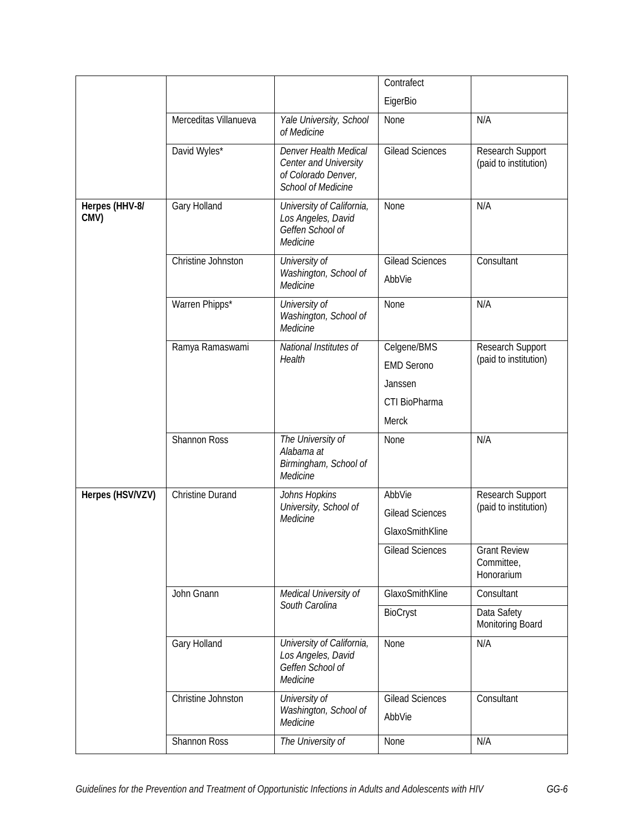|                        |                         |                                                                                                    | Contrafect                                                                   |                                                 |
|------------------------|-------------------------|----------------------------------------------------------------------------------------------------|------------------------------------------------------------------------------|-------------------------------------------------|
|                        |                         |                                                                                                    | EigerBio                                                                     |                                                 |
|                        | Merceditas Villanueva   | Yale University, School<br>of Medicine                                                             | None                                                                         | N/A                                             |
|                        | David Wyles*            | Denver Health Medical<br>Center and University<br>of Colorado Denver,<br><b>School of Medicine</b> | <b>Gilead Sciences</b>                                                       | Research Support<br>(paid to institution)       |
| Herpes (HHV-8/<br>CMV) | Gary Holland            | University of California,<br>Los Angeles, David<br>Geffen School of<br>Medicine                    | None                                                                         | N/A                                             |
|                        | Christine Johnston      | University of<br>Washington, School of<br>Medicine                                                 | <b>Gilead Sciences</b><br>AbbVie                                             | Consultant                                      |
|                        | Warren Phipps*          | University of<br>Washington, School of<br>Medicine                                                 | None                                                                         | N/A                                             |
|                        | Ramya Ramaswami         | National Institutes of<br>Health                                                                   | Celgene/BMS<br><b>EMD Serono</b><br>Janssen<br>CTI BioPharma<br><b>Merck</b> | Research Support<br>(paid to institution)       |
|                        | Shannon Ross            | The University of<br>Alabama at<br>Birmingham, School of<br>Medicine                               | None                                                                         | N/A                                             |
| Herpes (HSV/VZV)       | <b>Christine Durand</b> | Johns Hopkins<br>University, School of<br>Medicine                                                 | AbbVie<br><b>Gilead Sciences</b><br>GlaxoSmithKline                          | Research Support<br>(paid to institution)       |
|                        |                         |                                                                                                    | <b>Gilead Sciences</b>                                                       | <b>Grant Review</b><br>Committee,<br>Honorarium |
|                        | John Gnann              | Medical University of                                                                              | GlaxoSmithKline                                                              | Consultant                                      |
|                        |                         | South Carolina                                                                                     | BioCryst                                                                     | Data Safety<br>Monitoring Board                 |
|                        | Gary Holland            | University of California,<br>Los Angeles, David<br>Geffen School of<br>Medicine                    | None                                                                         | N/A                                             |
|                        | Christine Johnston      | University of<br>Washington, School of<br>Medicine                                                 | <b>Gilead Sciences</b><br>AbbVie                                             | Consultant                                      |
|                        | Shannon Ross            | The University of                                                                                  | None                                                                         | N/A                                             |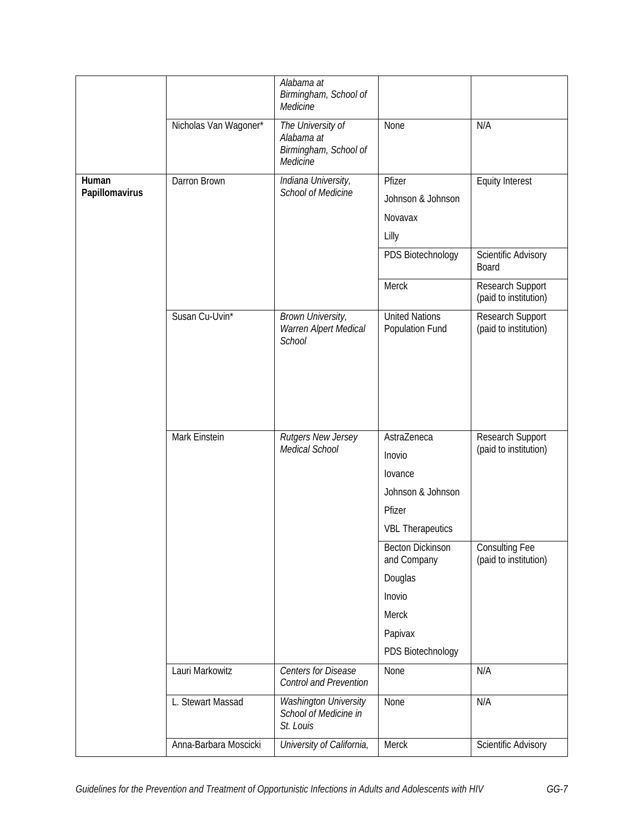|                |                       | Alabama at<br>Birmingham, School of<br>Medicine                      |                                          |                                           |
|----------------|-----------------------|----------------------------------------------------------------------|------------------------------------------|-------------------------------------------|
|                | Nicholas Van Wagoner* | The University of<br>Alabama at<br>Birmingham, School of<br>Medicine | None                                     | N/A                                       |
| Human          | Darron Brown          | Indiana University,                                                  | Pfizer                                   | <b>Equity Interest</b>                    |
| Papillomavirus |                       | School of Medicine                                                   | Johnson & Johnson                        |                                           |
|                |                       |                                                                      | Novavax                                  |                                           |
|                |                       |                                                                      | Lilly                                    |                                           |
|                |                       |                                                                      | PDS Biotechnology                        | <b>Scientific Advisory</b><br>Board       |
|                |                       |                                                                      | Merck                                    | Research Support<br>(paid to institution) |
|                | Susan Cu-Uvin*        | Brown University,<br>Warren Alpert Medical<br>School                 | <b>United Nations</b><br>Population Fund | Research Support<br>(paid to institution) |
|                |                       |                                                                      |                                          |                                           |
|                | Mark Einstein         | Rutgers New Jersey<br>Medical School                                 | AstraZeneca                              | Research Support<br>(paid to institution) |
|                |                       |                                                                      | Inovio                                   |                                           |
|                |                       |                                                                      | lovance                                  |                                           |
|                |                       |                                                                      | Johnson & Johnson                        |                                           |
|                |                       |                                                                      | Pfizer                                   |                                           |
|                |                       |                                                                      | <b>VBL Therapeutics</b>                  |                                           |
|                |                       |                                                                      | <b>Becton Dickinson</b><br>and Company   | Consulting Fee<br>(paid to institution)   |
|                |                       |                                                                      | Douglas                                  |                                           |
|                |                       |                                                                      | Inovio                                   |                                           |
|                |                       |                                                                      | Merck                                    |                                           |
|                |                       |                                                                      | Papivax                                  |                                           |
|                |                       |                                                                      | PDS Biotechnology                        |                                           |
|                | Lauri Markowitz       | Centers for Disease<br>Control and Prevention                        | None                                     | N/A                                       |
|                | L. Stewart Massad     | Washington University<br>School of Medicine in<br>St. Louis          | None                                     | N/A                                       |
|                | Anna-Barbara Moscicki | University of California,                                            | Merck                                    | Scientific Advisory                       |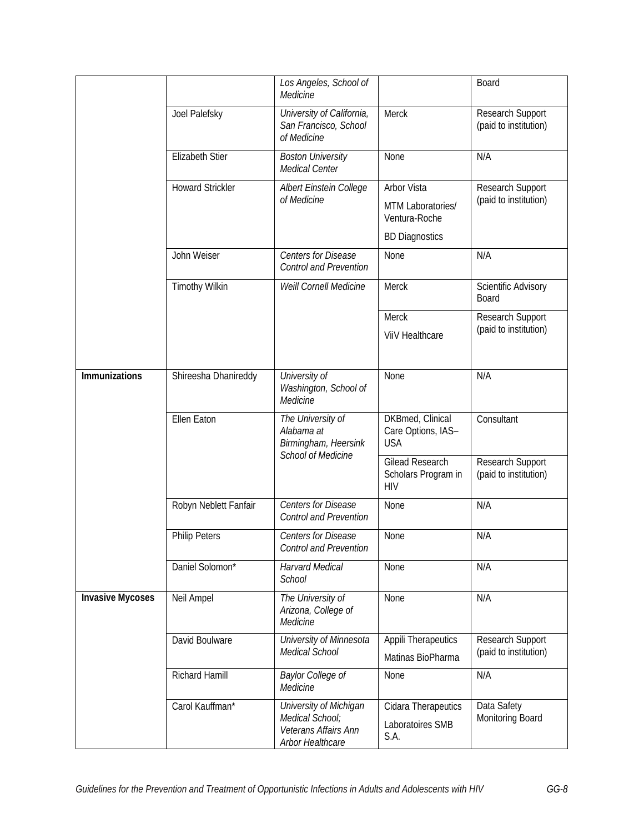|                         |                         | Los Angeles, School of<br>Medicine                                                    |                                                             | Board                                     |
|-------------------------|-------------------------|---------------------------------------------------------------------------------------|-------------------------------------------------------------|-------------------------------------------|
|                         | Joel Palefsky           | University of California,<br>San Francisco, School<br>of Medicine                     | Merck                                                       | Research Support<br>(paid to institution) |
|                         | <b>Elizabeth Stier</b>  | <b>Boston University</b><br>Medical Center                                            | None                                                        | N/A                                       |
|                         | <b>Howard Strickler</b> | Albert Einstein College<br>of Medicine                                                | <b>Arbor Vista</b>                                          | Research Support                          |
|                         |                         |                                                                                       | MTM Laboratories/<br>Ventura-Roche                          | (paid to institution)                     |
|                         |                         |                                                                                       | <b>BD Diagnostics</b>                                       |                                           |
|                         | John Weiser             | Centers for Disease<br><b>Control and Prevention</b>                                  | None                                                        | N/A                                       |
|                         | <b>Timothy Wilkin</b>   | Weill Cornell Medicine                                                                | Merck                                                       | Scientific Advisory<br>Board              |
|                         |                         |                                                                                       | Merck                                                       | Research Support                          |
|                         |                         |                                                                                       | <b>ViiV Healthcare</b>                                      | (paid to institution)                     |
| Immunizations           | Shireesha Dhanireddy    | University of<br>Washington, School of<br>Medicine                                    | None                                                        | N/A                                       |
|                         | <b>Ellen Eaton</b>      | The University of<br>Alabama at<br>Birmingham, Heersink                               | DKBmed, Clinical<br>Care Options, IAS-<br><b>USA</b>        | Consultant                                |
|                         |                         | <b>School of Medicine</b>                                                             | <b>Gilead Research</b><br>Scholars Program in<br><b>HIV</b> | Research Support<br>(paid to institution) |
|                         | Robyn Neblett Fanfair   | <b>Centers for Disease</b><br><b>Control and Prevention</b>                           | None                                                        | N/A                                       |
|                         | <b>Philip Peters</b>    | <b>Centers for Disease</b><br><b>Control and Prevention</b>                           | None                                                        | N/A                                       |
|                         | Daniel Solomon*         | <b>Harvard Medical</b><br>School                                                      | None                                                        | N/A                                       |
| <b>Invasive Mycoses</b> | Neil Ampel              | The University of<br>Arizona, College of<br>Medicine                                  | None                                                        | N/A                                       |
|                         | David Boulware          | University of Minnesota<br>Medical School                                             | <b>Appili Therapeutics</b><br>Matinas BioPharma             | Research Support<br>(paid to institution) |
|                         | Richard Hamill          | Baylor College of<br>Medicine                                                         | None                                                        | N/A                                       |
|                         | Carol Kauffman*         | University of Michigan<br>Medical School;<br>Veterans Affairs Ann<br>Arbor Healthcare | Cidara Therapeutics<br>Laboratoires SMB<br>S.A.             | Data Safety<br>Monitoring Board           |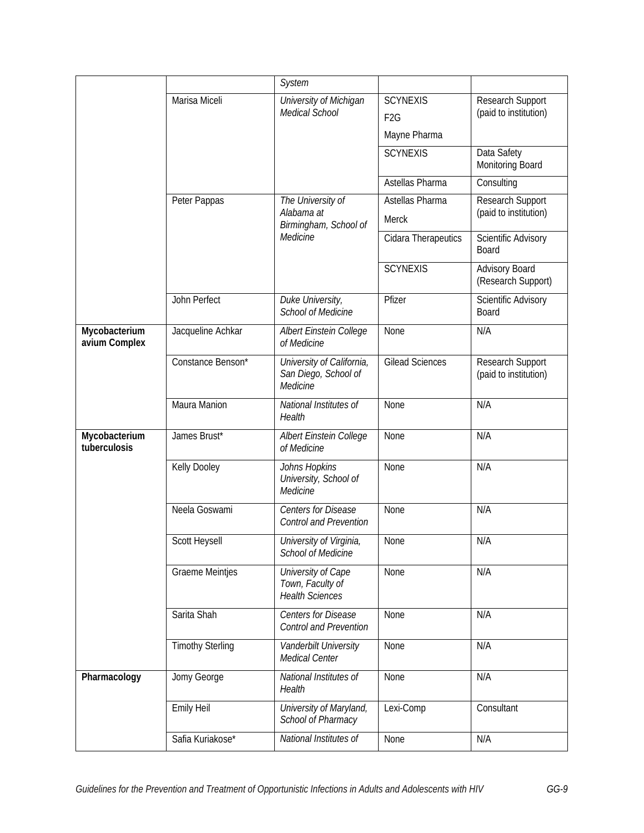|                                |                         | System                                                           |                                                     |                                           |
|--------------------------------|-------------------------|------------------------------------------------------------------|-----------------------------------------------------|-------------------------------------------|
|                                | Marisa Miceli           | University of Michigan<br><b>Medical School</b>                  | <b>SCYNEXIS</b><br>F <sub>2</sub> G<br>Mayne Pharma | Research Support<br>(paid to institution) |
|                                |                         |                                                                  | <b>SCYNEXIS</b>                                     | Data Safety<br>Monitoring Board           |
|                                |                         |                                                                  | Astellas Pharma                                     | Consulting                                |
|                                | Peter Pappas            | The University of<br>Alabama at<br>Birmingham, School of         | Astellas Pharma<br>Merck                            | Research Support<br>(paid to institution) |
|                                |                         | Medicine                                                         | Cidara Therapeutics                                 | Scientific Advisory<br>Board              |
|                                |                         |                                                                  | <b>SCYNEXIS</b>                                     | Advisory Board<br>(Research Support)      |
|                                | John Perfect            | Duke University,<br><b>School of Medicine</b>                    | Pfizer                                              | Scientific Advisory<br>Board              |
| Mycobacterium<br>avium Complex | Jacqueline Achkar       | Albert Einstein College<br>of Medicine                           | None                                                | N/A                                       |
|                                | Constance Benson*       | University of California,<br>San Diego, School of<br>Medicine    | <b>Gilead Sciences</b>                              | Research Support<br>(paid to institution) |
|                                | Maura Manion            | National Institutes of<br>Health                                 | None                                                | N/A                                       |
| Mycobacterium<br>tuberculosis  | James Brust*            | Albert Einstein College<br>of Medicine                           | None                                                | N/A                                       |
|                                | Kelly Dooley            | Johns Hopkins<br>University, School of<br>Medicine               | None                                                | N/A                                       |
|                                | Neela Goswami           | <b>Centers for Disease</b><br><b>Control and Prevention</b>      | None                                                | N/A                                       |
|                                | Scott Heysell           | University of Virginia,<br>School of Medicine                    | None                                                | N/A                                       |
|                                | Graeme Meintjes         | University of Cape<br>Town, Faculty of<br><b>Health Sciences</b> | None                                                | N/A                                       |
|                                | Sarita Shah             | Centers for Disease<br><b>Control and Prevention</b>             | None                                                | N/A                                       |
|                                | <b>Timothy Sterling</b> | Vanderbilt University<br>Medical Center                          | None                                                | N/A                                       |
| Pharmacology                   | Jomy George             | National Institutes of<br>Health                                 | None                                                | N/A                                       |
|                                | Emily Heil              | University of Maryland,<br>School of Pharmacy                    | Lexi-Comp                                           | Consultant                                |
|                                | Safia Kuriakose*        | National Institutes of                                           | None                                                | N/A                                       |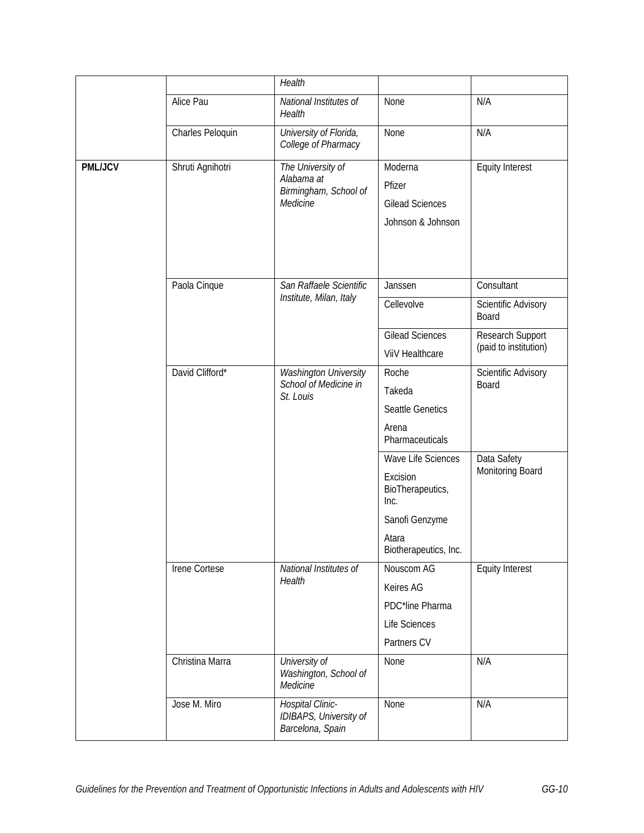|                |                                                                                | Health                                                                                                         |                                                                                 |                                                                |
|----------------|--------------------------------------------------------------------------------|----------------------------------------------------------------------------------------------------------------|---------------------------------------------------------------------------------|----------------------------------------------------------------|
|                | Alice Pau                                                                      | National Institutes of<br>Health                                                                               | None                                                                            | N/A                                                            |
|                | Charles Peloquin                                                               | University of Florida,<br>College of Pharmacy                                                                  | None                                                                            | N/A                                                            |
| <b>PML/JCV</b> | Shruti Agnihotri                                                               | The University of<br>Alabama at<br>Birmingham, School of<br>Medicine                                           | Moderna<br>Pfizer<br><b>Gilead Sciences</b><br>Johnson & Johnson                | <b>Equity Interest</b>                                         |
|                | Paola Cinque                                                                   | San Raffaele Scientific<br>Institute, Milan, Italy                                                             | Janssen<br>Cellevolve<br><b>Gilead Sciences</b>                                 | Consultant<br>Scientific Advisory<br>Board<br>Research Support |
|                |                                                                                |                                                                                                                | ViiV Healthcare                                                                 | (paid to institution)                                          |
|                | David Clifford*<br>Washington University<br>School of Medicine in<br>St. Louis |                                                                                                                | Roche<br>Board<br>Takeda<br><b>Seattle Genetics</b><br>Arena<br>Pharmaceuticals | Scientific Advisory                                            |
|                |                                                                                | Wave Life Sciences<br>Excision<br>BioTherapeutics,<br>Inc.<br>Sanofi Genzyme<br>Atara<br>Biotherapeutics, Inc. | Data Safety<br>Monitoring Board                                                 |                                                                |
|                | Irene Cortese                                                                  | National Institutes of<br>Health                                                                               | Nouscom AG<br>Keires AG<br>PDC*line Pharma<br>Life Sciences<br>Partners CV      | <b>Equity Interest</b>                                         |
|                | Christina Marra                                                                | University of<br>Washington, School of<br>Medicine                                                             | None                                                                            | N/A                                                            |
|                | Jose M. Miro                                                                   | Hospital Clinic-<br>IDIBAPS, University of<br>Barcelona, Spain                                                 | None                                                                            | N/A                                                            |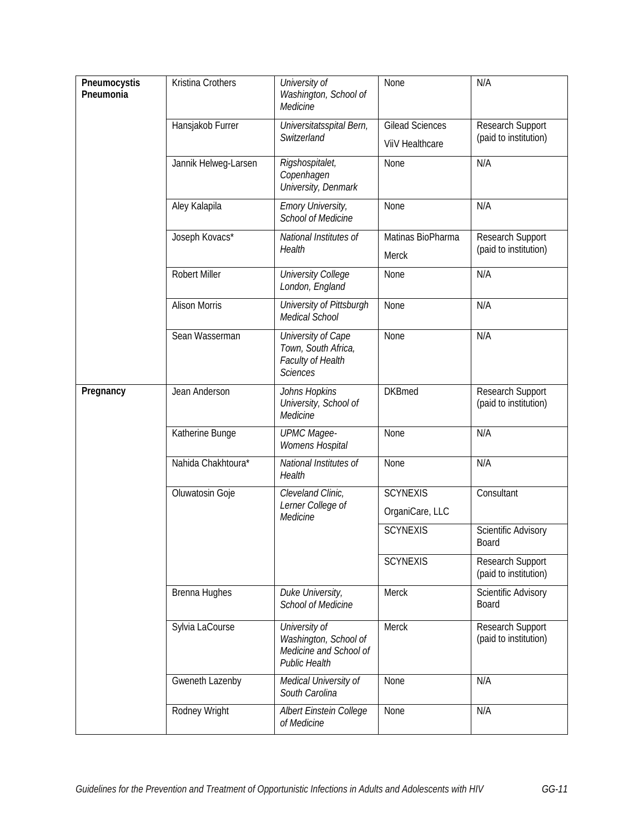| Pneumocystis<br>Pneumonia | Kristina Crothers    | University of<br>Washington, School of<br>Medicine                                       | None                                      | N/A                                       |
|---------------------------|----------------------|------------------------------------------------------------------------------------------|-------------------------------------------|-------------------------------------------|
|                           | Hansjakob Furrer     | Universitatsspital Bern,<br>Switzerland                                                  | <b>Gilead Sciences</b><br>ViiV Healthcare | Research Support<br>(paid to institution) |
|                           | Jannik Helweg-Larsen | Rigshospitalet,<br>Copenhagen<br>University, Denmark                                     | None                                      | N/A                                       |
|                           | Aley Kalapila        | <b>Emory University,</b><br><b>School of Medicine</b>                                    | None                                      | N/A                                       |
|                           | Joseph Kovacs*       | National Institutes of<br>Health                                                         | Matinas BioPharma<br><b>Merck</b>         | Research Support<br>(paid to institution) |
|                           | <b>Robert Miller</b> | <b>University College</b><br>London, England                                             | None                                      | N/A                                       |
|                           | <b>Alison Morris</b> | University of Pittsburgh<br>Medical School                                               | None                                      | N/A                                       |
|                           | Sean Wasserman       | University of Cape<br>Town, South Africa,<br>Faculty of Health<br><b>Sciences</b>        | None                                      | N/A                                       |
| Pregnancy                 | Jean Anderson        | Johns Hopkins<br>University, School of<br>Medicine                                       | <b>DKBmed</b>                             | Research Support<br>(paid to institution) |
|                           | Katherine Bunge      | <b>UPMC Magee-</b><br>Womens Hospital                                                    | None                                      | N/A                                       |
|                           | Nahida Chakhtoura*   | National Institutes of<br>Health                                                         | None                                      | N/A                                       |
|                           | Oluwatosin Goje      | Cleveland Clinic,<br>Lerner College of                                                   | <b>SCYNEXIS</b>                           | Consultant                                |
|                           |                      | Medicine                                                                                 | OrganiCare, LLC                           |                                           |
|                           |                      |                                                                                          | <b>SCYNEXIS</b>                           | Scientific Advisory<br>Board              |
|                           |                      |                                                                                          | <b>SCYNEXIS</b>                           | Research Support<br>(paid to institution) |
|                           | Brenna Hughes        | Duke University,<br><b>School of Medicine</b>                                            | Merck                                     | Scientific Advisory<br>Board              |
|                           | Sylvia LaCourse      | University of<br>Washington, School of<br>Medicine and School of<br><b>Public Health</b> | Merck                                     | Research Support<br>(paid to institution) |
|                           | Gweneth Lazenby      | Medical University of<br>South Carolina                                                  | None                                      | N/A                                       |
|                           | Rodney Wright        | Albert Einstein College<br>of Medicine                                                   | None                                      | N/A                                       |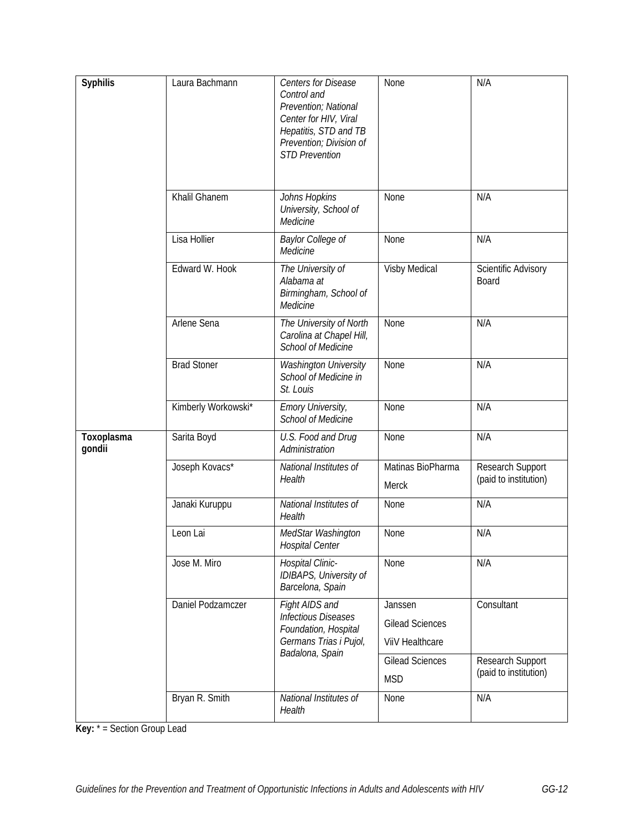| <b>Syphilis</b>      | Laura Bachmann      | <b>Centers for Disease</b><br>Control and<br>Prevention; National<br>Center for HIV, Viral<br>Hepatitis, STD and TB<br>Prevention; Division of<br><b>STD Prevention</b> | None                                                 | N/A                                       |
|----------------------|---------------------|-------------------------------------------------------------------------------------------------------------------------------------------------------------------------|------------------------------------------------------|-------------------------------------------|
|                      | Khalil Ghanem       | Johns Hopkins<br>University, School of<br>Medicine                                                                                                                      | None                                                 | N/A                                       |
|                      | Lisa Hollier        | Baylor College of<br>Medicine                                                                                                                                           | None                                                 | N/A                                       |
|                      | Edward W. Hook      | The University of<br>Alabama at<br>Birmingham, School of<br>Medicine                                                                                                    | Visby Medical                                        | Scientific Advisory<br>Board              |
|                      | Arlene Sena         | The University of North<br>Carolina at Chapel Hill,<br><b>School of Medicine</b>                                                                                        | None                                                 | N/A                                       |
|                      | <b>Brad Stoner</b>  | <b>Washington University</b><br>School of Medicine in<br>St. Louis                                                                                                      | None                                                 | N/A                                       |
|                      | Kimberly Workowski* | <b>Emory University,</b><br>School of Medicine                                                                                                                          | None                                                 | N/A                                       |
| Toxoplasma<br>gondii | Sarita Boyd         | U.S. Food and Drug<br>Administration                                                                                                                                    | None                                                 | N/A                                       |
|                      | Joseph Kovacs*      | National Institutes of<br>Health                                                                                                                                        | Matinas BioPharma<br>Merck                           | Research Support<br>(paid to institution) |
|                      | Janaki Kuruppu      | National Institutes of<br>Health                                                                                                                                        | None                                                 | N/A                                       |
|                      | Leon Lai            | MedStar Washington<br><b>Hospital Center</b>                                                                                                                            | None                                                 | N/A                                       |
|                      | Jose M. Miro        | Hospital Clinic-<br>IDIBAPS, University of<br>Barcelona, Spain                                                                                                          | None                                                 | N/A                                       |
|                      | Daniel Podzamczer   | Fight AIDS and<br><b>Infectious Diseases</b><br>Foundation, Hospital<br>Germans Trias i Pujol,<br>Badalona, Spain                                                       | Janssen<br><b>Gilead Sciences</b><br>ViiV Healthcare | Consultant                                |
|                      |                     |                                                                                                                                                                         | <b>Gilead Sciences</b><br><b>MSD</b>                 | Research Support<br>(paid to institution) |
|                      | Bryan R. Smith      | National Institutes of<br>Health                                                                                                                                        | None                                                 | N/A                                       |

**Key:** \* = Section Group Lead